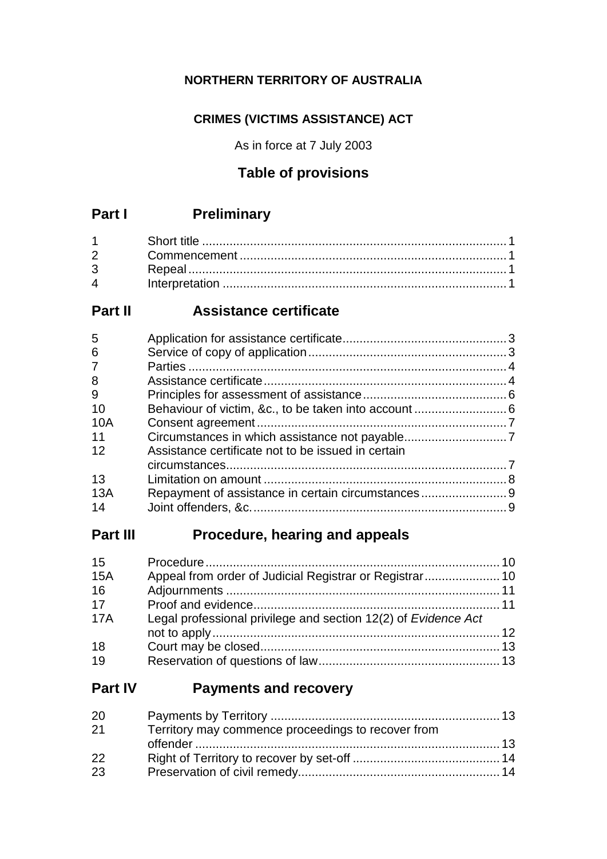## **NORTHERN TERRITORY OF AUSTRALIA**

## **CRIMES (VICTIMS ASSISTANCE) ACT**

As in force at 7 July 2003

## **Table of provisions**

# **Part I Preliminary**

| $3 \quad \text{ }$ |  |
|--------------------|--|
| $\overline{4}$     |  |

# **Part II Assistance certificate**

| 5              |                                                    |  |
|----------------|----------------------------------------------------|--|
| 6              |                                                    |  |
| $\overline{7}$ |                                                    |  |
| 8              |                                                    |  |
| 9              |                                                    |  |
| 10             |                                                    |  |
| 10A            |                                                    |  |
| 11             |                                                    |  |
| 12             | Assistance certificate not to be issued in certain |  |
|                |                                                    |  |
| 13             |                                                    |  |
| 13A            | Repayment of assistance in certain circumstances9  |  |
| 14             |                                                    |  |
|                |                                                    |  |

# **Part III Procedure, hearing and appeals**

| 15         |                                                                |  |
|------------|----------------------------------------------------------------|--|
| 15A        | Appeal from order of Judicial Registrar or Registrar 10        |  |
| 16         |                                                                |  |
| 17         |                                                                |  |
| <b>17A</b> | Legal professional privilege and section 12(2) of Evidence Act |  |
|            |                                                                |  |
| 18         |                                                                |  |
| 19         |                                                                |  |

## **Part IV Payments and recovery**

| 20 |                                                    |  |
|----|----------------------------------------------------|--|
| 21 | Territory may commence proceedings to recover from |  |
|    |                                                    |  |
| 22 |                                                    |  |
| 23 |                                                    |  |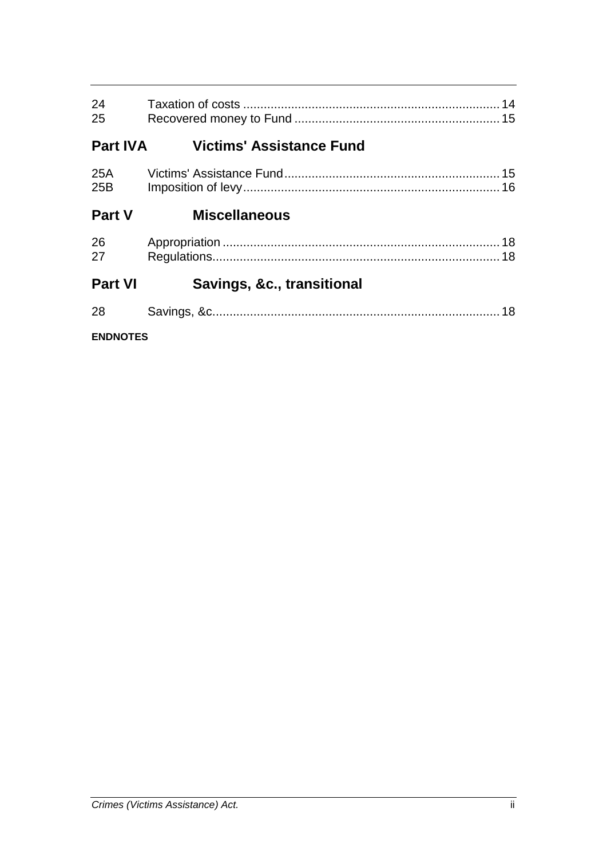| 24<br>25        |                                 |  |
|-----------------|---------------------------------|--|
| <b>Part IVA</b> | <b>Victims' Assistance Fund</b> |  |
| 25B             |                                 |  |
| <b>Part V</b>   | <b>Miscellaneous</b>            |  |
| 26<br>27        |                                 |  |
| <b>Part VI</b>  | Savings, &c., transitional      |  |
| 28              |                                 |  |
| <b>ENDNOTES</b> |                                 |  |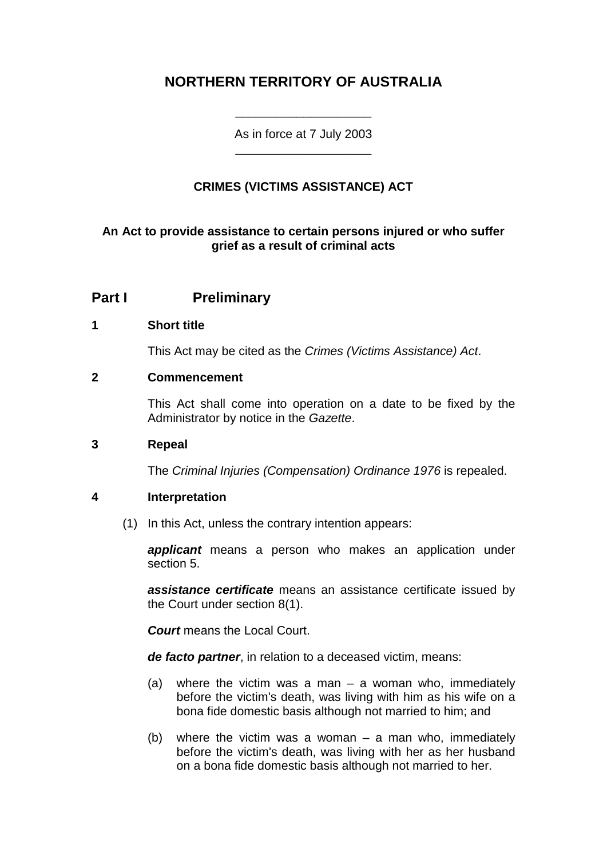## **NORTHERN TERRITORY OF AUSTRALIA**

As in force at 7 July 2003 \_\_\_\_\_\_\_\_\_\_\_\_\_\_\_\_\_\_\_\_

\_\_\_\_\_\_\_\_\_\_\_\_\_\_\_\_\_\_\_\_

## **CRIMES (VICTIMS ASSISTANCE) ACT**

## **An Act to provide assistance to certain persons injured or who suffer grief as a result of criminal acts**

## **Part I Preliminary**

## **1 Short title**

This Act may be cited as the *Crimes (Victims Assistance) Act*.

## **2 Commencement**

This Act shall come into operation on a date to be fixed by the Administrator by notice in the *Gazette*.

#### **3 Repeal**

The *Criminal Injuries (Compensation) Ordinance 1976* is repealed.

## **4 Interpretation**

(1) In this Act, unless the contrary intention appears:

*applicant* means a person who makes an application under section 5.

*assistance certificate* means an assistance certificate issued by the Court under section 8(1).

*Court* means the Local Court.

*de facto partner*, in relation to a deceased victim, means:

- (a) where the victim was a man a woman who, immediately before the victim's death, was living with him as his wife on a bona fide domestic basis although not married to him; and
- (b) where the victim was a woman a man who, immediately before the victim's death, was living with her as her husband on a bona fide domestic basis although not married to her.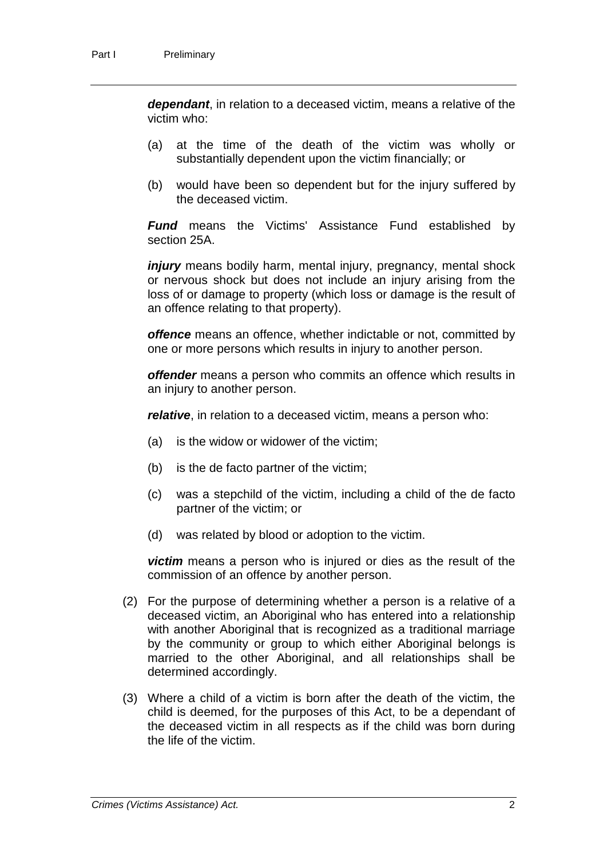*dependant*, in relation to a deceased victim, means a relative of the victim who:

- (a) at the time of the death of the victim was wholly or substantially dependent upon the victim financially; or
- (b) would have been so dependent but for the injury suffered by the deceased victim.

*Fund* means the Victims' Assistance Fund established by section 25A.

*injury* means bodily harm, mental injury, pregnancy, mental shock or nervous shock but does not include an injury arising from the loss of or damage to property (which loss or damage is the result of an offence relating to that property).

*offence* means an offence, whether indictable or not, committed by one or more persons which results in injury to another person.

*offender* means a person who commits an offence which results in an injury to another person.

*relative*, in relation to a deceased victim, means a person who:

- (a) is the widow or widower of the victim;
- (b) is the de facto partner of the victim;
- (c) was a stepchild of the victim, including a child of the de facto partner of the victim; or
- (d) was related by blood or adoption to the victim.

*victim* means a person who is injured or dies as the result of the commission of an offence by another person.

- (2) For the purpose of determining whether a person is a relative of a deceased victim, an Aboriginal who has entered into a relationship with another Aboriginal that is recognized as a traditional marriage by the community or group to which either Aboriginal belongs is married to the other Aboriginal, and all relationships shall be determined accordingly.
- (3) Where a child of a victim is born after the death of the victim, the child is deemed, for the purposes of this Act, to be a dependant of the deceased victim in all respects as if the child was born during the life of the victim.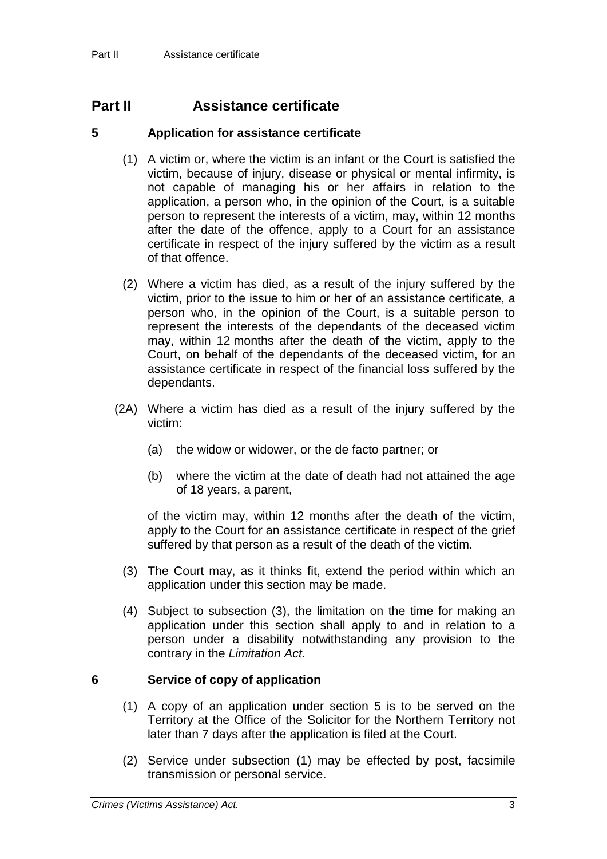## **Part II Assistance certificate**

## **5 Application for assistance certificate**

- (1) A victim or, where the victim is an infant or the Court is satisfied the victim, because of injury, disease or physical or mental infirmity, is not capable of managing his or her affairs in relation to the application, a person who, in the opinion of the Court, is a suitable person to represent the interests of a victim, may, within 12 months after the date of the offence, apply to a Court for an assistance certificate in respect of the injury suffered by the victim as a result of that offence.
- (2) Where a victim has died, as a result of the injury suffered by the victim, prior to the issue to him or her of an assistance certificate, a person who, in the opinion of the Court, is a suitable person to represent the interests of the dependants of the deceased victim may, within 12 months after the death of the victim, apply to the Court, on behalf of the dependants of the deceased victim, for an assistance certificate in respect of the financial loss suffered by the dependants.
- (2A) Where a victim has died as a result of the injury suffered by the victim:
	- (a) the widow or widower, or the de facto partner; or
	- (b) where the victim at the date of death had not attained the age of 18 years, a parent,

of the victim may, within 12 months after the death of the victim, apply to the Court for an assistance certificate in respect of the grief suffered by that person as a result of the death of the victim.

- (3) The Court may, as it thinks fit, extend the period within which an application under this section may be made.
- (4) Subject to subsection (3), the limitation on the time for making an application under this section shall apply to and in relation to a person under a disability notwithstanding any provision to the contrary in the *Limitation Act*.

## **6 Service of copy of application**

- (1) A copy of an application under section 5 is to be served on the Territory at the Office of the Solicitor for the Northern Territory not later than 7 days after the application is filed at the Court.
- (2) Service under subsection (1) may be effected by post, facsimile transmission or personal service.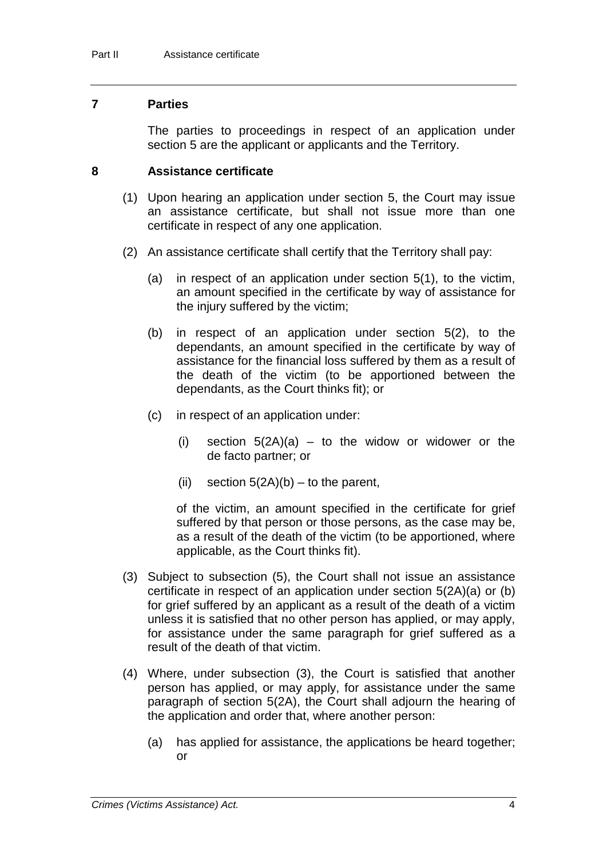## **7 Parties**

The parties to proceedings in respect of an application under section 5 are the applicant or applicants and the Territory.

## **8 Assistance certificate**

- (1) Upon hearing an application under section 5, the Court may issue an assistance certificate, but shall not issue more than one certificate in respect of any one application.
- (2) An assistance certificate shall certify that the Territory shall pay:
	- (a) in respect of an application under section 5(1), to the victim, an amount specified in the certificate by way of assistance for the injury suffered by the victim;
	- (b) in respect of an application under section 5(2), to the dependants, an amount specified in the certificate by way of assistance for the financial loss suffered by them as a result of the death of the victim (to be apportioned between the dependants, as the Court thinks fit); or
	- (c) in respect of an application under:
		- (i) section  $5(2A)(a) to$  to the widow or widower or the de facto partner; or
		- (ii) section  $5(2A)(b)$  to the parent,

of the victim, an amount specified in the certificate for grief suffered by that person or those persons, as the case may be, as a result of the death of the victim (to be apportioned, where applicable, as the Court thinks fit).

- (3) Subject to subsection (5), the Court shall not issue an assistance certificate in respect of an application under section 5(2A)(a) or (b) for grief suffered by an applicant as a result of the death of a victim unless it is satisfied that no other person has applied, or may apply, for assistance under the same paragraph for grief suffered as a result of the death of that victim.
- (4) Where, under subsection (3), the Court is satisfied that another person has applied, or may apply, for assistance under the same paragraph of section 5(2A), the Court shall adjourn the hearing of the application and order that, where another person:
	- (a) has applied for assistance, the applications be heard together; or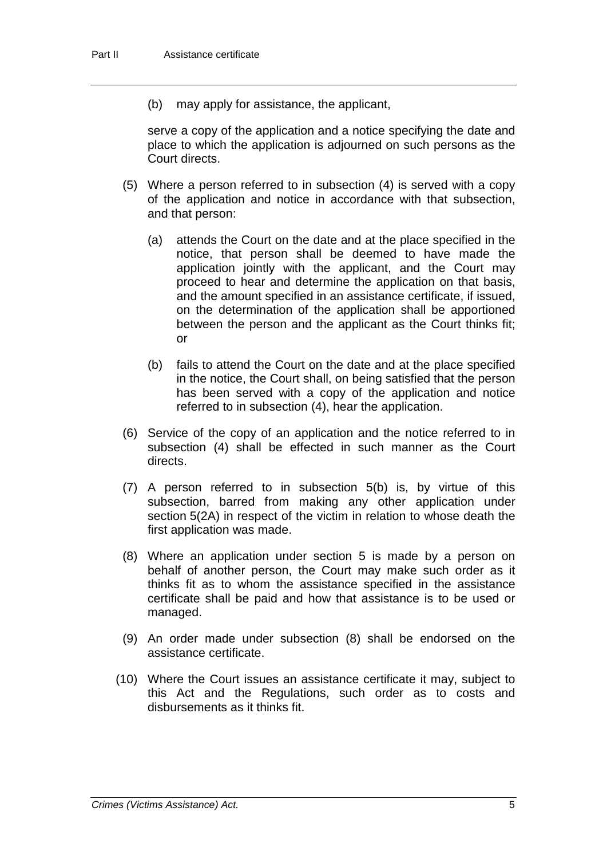(b) may apply for assistance, the applicant,

serve a copy of the application and a notice specifying the date and place to which the application is adjourned on such persons as the Court directs.

- (5) Where a person referred to in subsection (4) is served with a copy of the application and notice in accordance with that subsection, and that person:
	- (a) attends the Court on the date and at the place specified in the notice, that person shall be deemed to have made the application jointly with the applicant, and the Court may proceed to hear and determine the application on that basis, and the amount specified in an assistance certificate, if issued, on the determination of the application shall be apportioned between the person and the applicant as the Court thinks fit; or
	- (b) fails to attend the Court on the date and at the place specified in the notice, the Court shall, on being satisfied that the person has been served with a copy of the application and notice referred to in subsection (4), hear the application.
- (6) Service of the copy of an application and the notice referred to in subsection (4) shall be effected in such manner as the Court directs.
- (7) A person referred to in subsection 5(b) is, by virtue of this subsection, barred from making any other application under section 5(2A) in respect of the victim in relation to whose death the first application was made.
- (8) Where an application under section 5 is made by a person on behalf of another person, the Court may make such order as it thinks fit as to whom the assistance specified in the assistance certificate shall be paid and how that assistance is to be used or managed.
- (9) An order made under subsection (8) shall be endorsed on the assistance certificate.
- (10) Where the Court issues an assistance certificate it may, subject to this Act and the Regulations, such order as to costs and disbursements as it thinks fit.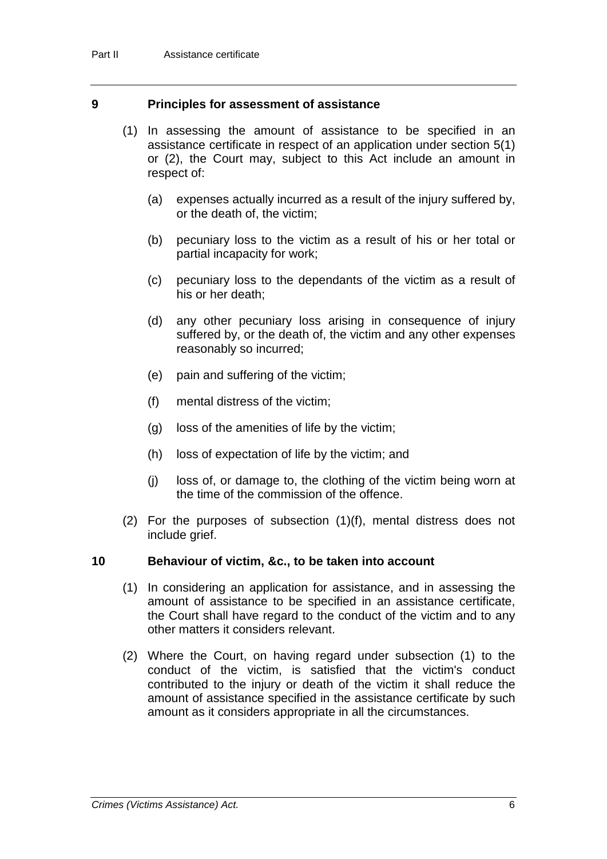## **9 Principles for assessment of assistance**

- (1) In assessing the amount of assistance to be specified in an assistance certificate in respect of an application under section 5(1) or (2), the Court may, subject to this Act include an amount in respect of:
	- (a) expenses actually incurred as a result of the injury suffered by, or the death of, the victim;
	- (b) pecuniary loss to the victim as a result of his or her total or partial incapacity for work;
	- (c) pecuniary loss to the dependants of the victim as a result of his or her death;
	- (d) any other pecuniary loss arising in consequence of injury suffered by, or the death of, the victim and any other expenses reasonably so incurred;
	- (e) pain and suffering of the victim;
	- (f) mental distress of the victim;
	- (g) loss of the amenities of life by the victim;
	- (h) loss of expectation of life by the victim; and
	- (j) loss of, or damage to, the clothing of the victim being worn at the time of the commission of the offence.
- (2) For the purposes of subsection (1)(f), mental distress does not include grief.

## **10 Behaviour of victim, &c., to be taken into account**

- (1) In considering an application for assistance, and in assessing the amount of assistance to be specified in an assistance certificate, the Court shall have regard to the conduct of the victim and to any other matters it considers relevant.
- (2) Where the Court, on having regard under subsection (1) to the conduct of the victim, is satisfied that the victim's conduct contributed to the injury or death of the victim it shall reduce the amount of assistance specified in the assistance certificate by such amount as it considers appropriate in all the circumstances.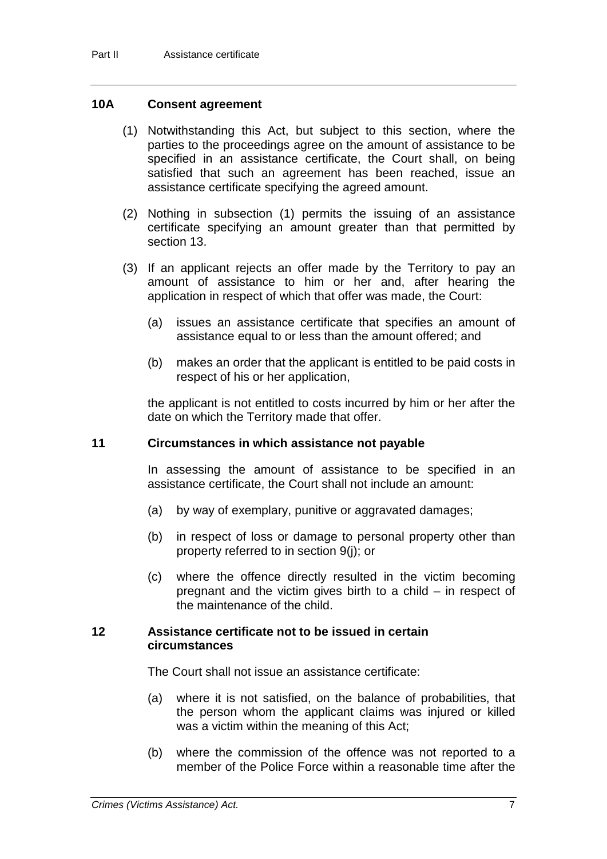## **10A Consent agreement**

- (1) Notwithstanding this Act, but subject to this section, where the parties to the proceedings agree on the amount of assistance to be specified in an assistance certificate, the Court shall, on being satisfied that such an agreement has been reached, issue an assistance certificate specifying the agreed amount.
- (2) Nothing in subsection (1) permits the issuing of an assistance certificate specifying an amount greater than that permitted by section 13.
- (3) If an applicant rejects an offer made by the Territory to pay an amount of assistance to him or her and, after hearing the application in respect of which that offer was made, the Court:
	- (a) issues an assistance certificate that specifies an amount of assistance equal to or less than the amount offered; and
	- (b) makes an order that the applicant is entitled to be paid costs in respect of his or her application,

the applicant is not entitled to costs incurred by him or her after the date on which the Territory made that offer.

## **11 Circumstances in which assistance not payable**

In assessing the amount of assistance to be specified in an assistance certificate, the Court shall not include an amount:

- (a) by way of exemplary, punitive or aggravated damages;
- (b) in respect of loss or damage to personal property other than property referred to in section 9(j); or
- (c) where the offence directly resulted in the victim becoming pregnant and the victim gives birth to a child – in respect of the maintenance of the child.

#### **12 Assistance certificate not to be issued in certain circumstances**

The Court shall not issue an assistance certificate:

- (a) where it is not satisfied, on the balance of probabilities, that the person whom the applicant claims was injured or killed was a victim within the meaning of this Act;
- (b) where the commission of the offence was not reported to a member of the Police Force within a reasonable time after the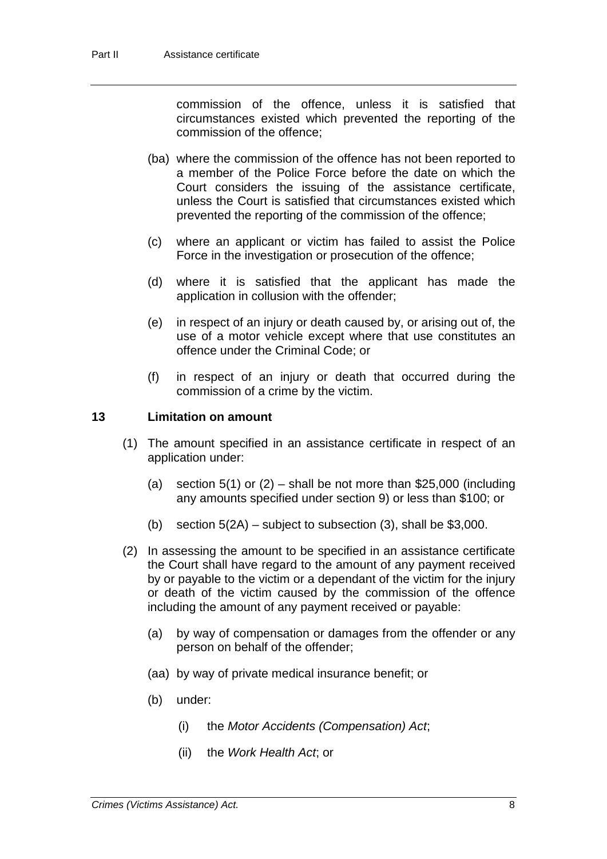commission of the offence, unless it is satisfied that circumstances existed which prevented the reporting of the commission of the offence;

- (ba) where the commission of the offence has not been reported to a member of the Police Force before the date on which the Court considers the issuing of the assistance certificate, unless the Court is satisfied that circumstances existed which prevented the reporting of the commission of the offence;
- (c) where an applicant or victim has failed to assist the Police Force in the investigation or prosecution of the offence;
- (d) where it is satisfied that the applicant has made the application in collusion with the offender;
- (e) in respect of an injury or death caused by, or arising out of, the use of a motor vehicle except where that use constitutes an offence under the Criminal Code; or
- (f) in respect of an injury or death that occurred during the commission of a crime by the victim.

## **13 Limitation on amount**

- (1) The amount specified in an assistance certificate in respect of an application under:
	- (a) section  $5(1)$  or  $(2)$  shall be not more than \$25,000 (including any amounts specified under section 9) or less than \$100; or
	- (b) section  $5(2A)$  subject to subsection (3), shall be \$3,000.
- (2) In assessing the amount to be specified in an assistance certificate the Court shall have regard to the amount of any payment received by or payable to the victim or a dependant of the victim for the injury or death of the victim caused by the commission of the offence including the amount of any payment received or payable:
	- (a) by way of compensation or damages from the offender or any person on behalf of the offender;
	- (aa) by way of private medical insurance benefit; or
	- (b) under:
		- (i) the *Motor Accidents (Compensation) Act*;
		- (ii) the *Work Health Act*; or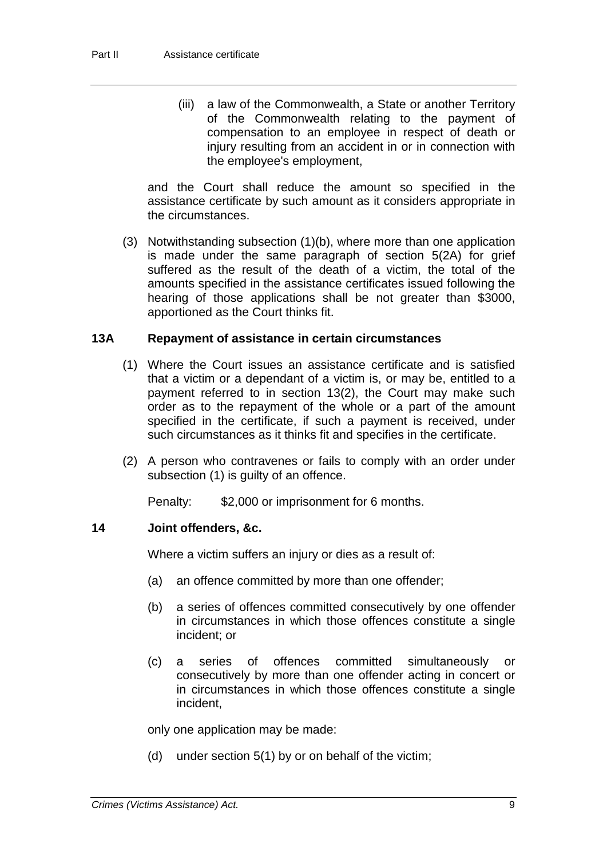(iii) a law of the Commonwealth, a State or another Territory of the Commonwealth relating to the payment of compensation to an employee in respect of death or injury resulting from an accident in or in connection with the employee's employment,

and the Court shall reduce the amount so specified in the assistance certificate by such amount as it considers appropriate in the circumstances.

(3) Notwithstanding subsection (1)(b), where more than one application is made under the same paragraph of section 5(2A) for grief suffered as the result of the death of a victim, the total of the amounts specified in the assistance certificates issued following the hearing of those applications shall be not greater than \$3000, apportioned as the Court thinks fit.

## **13A Repayment of assistance in certain circumstances**

- (1) Where the Court issues an assistance certificate and is satisfied that a victim or a dependant of a victim is, or may be, entitled to a payment referred to in section 13(2), the Court may make such order as to the repayment of the whole or a part of the amount specified in the certificate, if such a payment is received, under such circumstances as it thinks fit and specifies in the certificate.
- (2) A person who contravenes or fails to comply with an order under subsection (1) is guilty of an offence.

Penalty: \$2,000 or imprisonment for 6 months.

## **14 Joint offenders, &c.**

Where a victim suffers an injury or dies as a result of:

- (a) an offence committed by more than one offender;
- (b) a series of offences committed consecutively by one offender in circumstances in which those offences constitute a single incident; or
- (c) a series of offences committed simultaneously or consecutively by more than one offender acting in concert or in circumstances in which those offences constitute a single incident,

only one application may be made:

(d) under section 5(1) by or on behalf of the victim;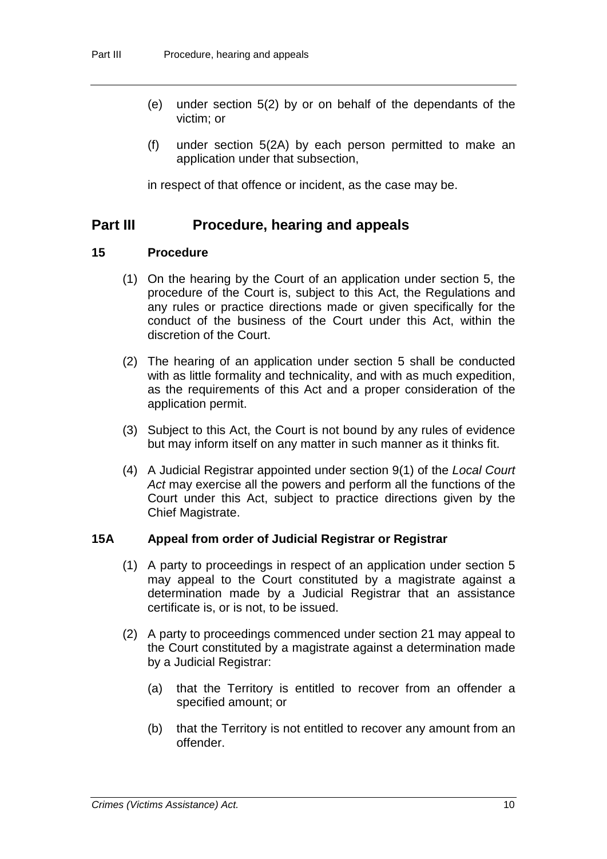- (e) under section 5(2) by or on behalf of the dependants of the victim; or
- (f) under section 5(2A) by each person permitted to make an application under that subsection,

in respect of that offence or incident, as the case may be.

## **Part III Procedure, hearing and appeals**

## **15 Procedure**

- (1) On the hearing by the Court of an application under section 5, the procedure of the Court is, subject to this Act, the Regulations and any rules or practice directions made or given specifically for the conduct of the business of the Court under this Act, within the discretion of the Court.
- (2) The hearing of an application under section 5 shall be conducted with as little formality and technicality, and with as much expedition, as the requirements of this Act and a proper consideration of the application permit.
- (3) Subject to this Act, the Court is not bound by any rules of evidence but may inform itself on any matter in such manner as it thinks fit.
- (4) A Judicial Registrar appointed under section 9(1) of the *Local Court Act* may exercise all the powers and perform all the functions of the Court under this Act, subject to practice directions given by the Chief Magistrate.

#### **15A Appeal from order of Judicial Registrar or Registrar**

- (1) A party to proceedings in respect of an application under section 5 may appeal to the Court constituted by a magistrate against a determination made by a Judicial Registrar that an assistance certificate is, or is not, to be issued.
- (2) A party to proceedings commenced under section 21 may appeal to the Court constituted by a magistrate against a determination made by a Judicial Registrar:
	- (a) that the Territory is entitled to recover from an offender a specified amount; or
	- (b) that the Territory is not entitled to recover any amount from an offender.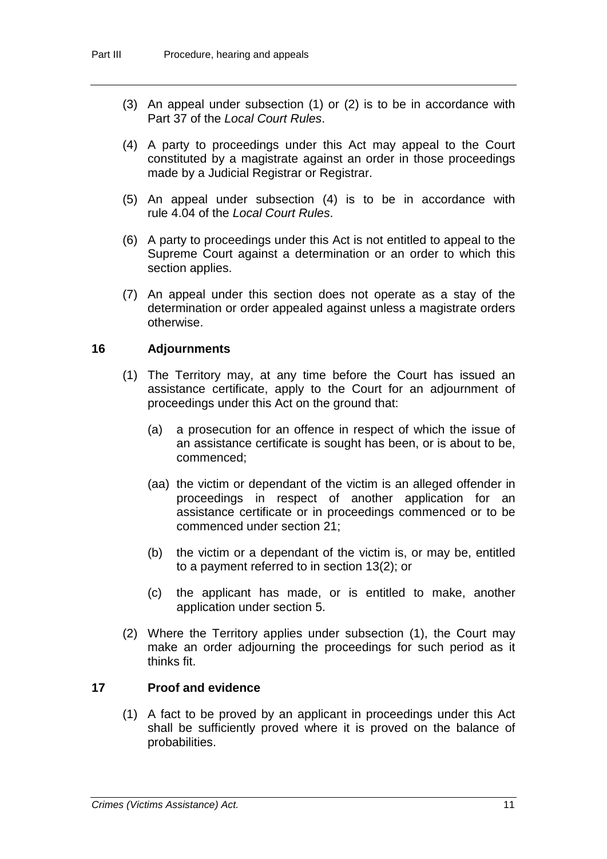- (3) An appeal under subsection (1) or (2) is to be in accordance with Part 37 of the *Local Court Rules*.
- (4) A party to proceedings under this Act may appeal to the Court constituted by a magistrate against an order in those proceedings made by a Judicial Registrar or Registrar.
- (5) An appeal under subsection (4) is to be in accordance with rule 4.04 of the *Local Court Rules*.
- (6) A party to proceedings under this Act is not entitled to appeal to the Supreme Court against a determination or an order to which this section applies.
- (7) An appeal under this section does not operate as a stay of the determination or order appealed against unless a magistrate orders otherwise.

## **16 Adjournments**

- (1) The Territory may, at any time before the Court has issued an assistance certificate, apply to the Court for an adjournment of proceedings under this Act on the ground that:
	- (a) a prosecution for an offence in respect of which the issue of an assistance certificate is sought has been, or is about to be, commenced;
	- (aa) the victim or dependant of the victim is an alleged offender in proceedings in respect of another application for an assistance certificate or in proceedings commenced or to be commenced under section 21;
	- (b) the victim or a dependant of the victim is, or may be, entitled to a payment referred to in section 13(2); or
	- (c) the applicant has made, or is entitled to make, another application under section 5.
- (2) Where the Territory applies under subsection (1), the Court may make an order adjourning the proceedings for such period as it thinks fit.

#### **17 Proof and evidence**

(1) A fact to be proved by an applicant in proceedings under this Act shall be sufficiently proved where it is proved on the balance of probabilities.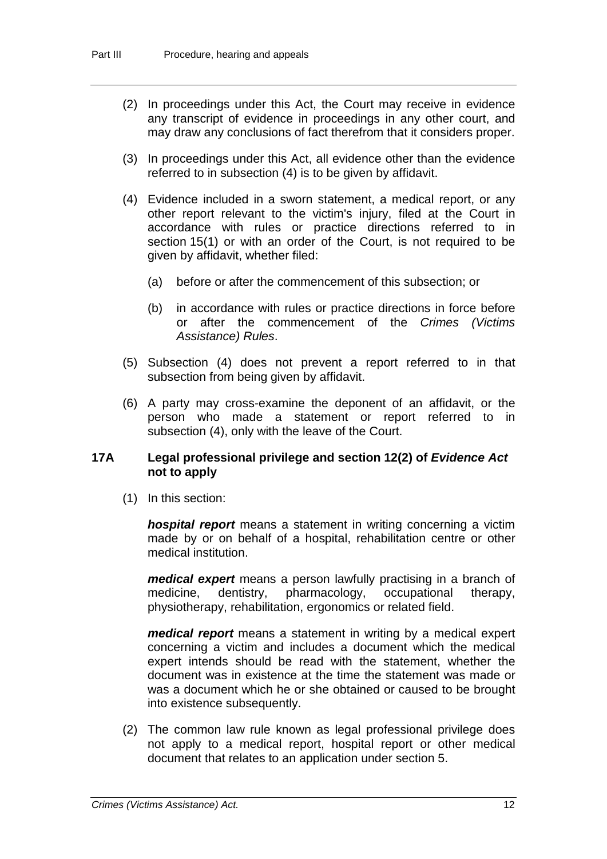- (2) In proceedings under this Act, the Court may receive in evidence any transcript of evidence in proceedings in any other court, and may draw any conclusions of fact therefrom that it considers proper.
- (3) In proceedings under this Act, all evidence other than the evidence referred to in subsection (4) is to be given by affidavit.
- (4) Evidence included in a sworn statement, a medical report, or any other report relevant to the victim's injury, filed at the Court in accordance with rules or practice directions referred to in section 15(1) or with an order of the Court, is not required to be given by affidavit, whether filed:
	- (a) before or after the commencement of this subsection; or
	- (b) in accordance with rules or practice directions in force before or after the commencement of the *Crimes (Victims Assistance) Rules*.
- (5) Subsection (4) does not prevent a report referred to in that subsection from being given by affidavit.
- (6) A party may cross-examine the deponent of an affidavit, or the person who made a statement or report referred to in subsection (4), only with the leave of the Court.

## **17A Legal professional privilege and section 12(2) of** *Evidence Act* **not to apply**

(1) In this section:

*hospital report* means a statement in writing concerning a victim made by or on behalf of a hospital, rehabilitation centre or other medical institution.

*medical expert* means a person lawfully practising in a branch of medicine, dentistry, pharmacology, occupational therapy, physiotherapy, rehabilitation, ergonomics or related field.

*medical report* means a statement in writing by a medical expert concerning a victim and includes a document which the medical expert intends should be read with the statement, whether the document was in existence at the time the statement was made or was a document which he or she obtained or caused to be brought into existence subsequently.

(2) The common law rule known as legal professional privilege does not apply to a medical report, hospital report or other medical document that relates to an application under section 5.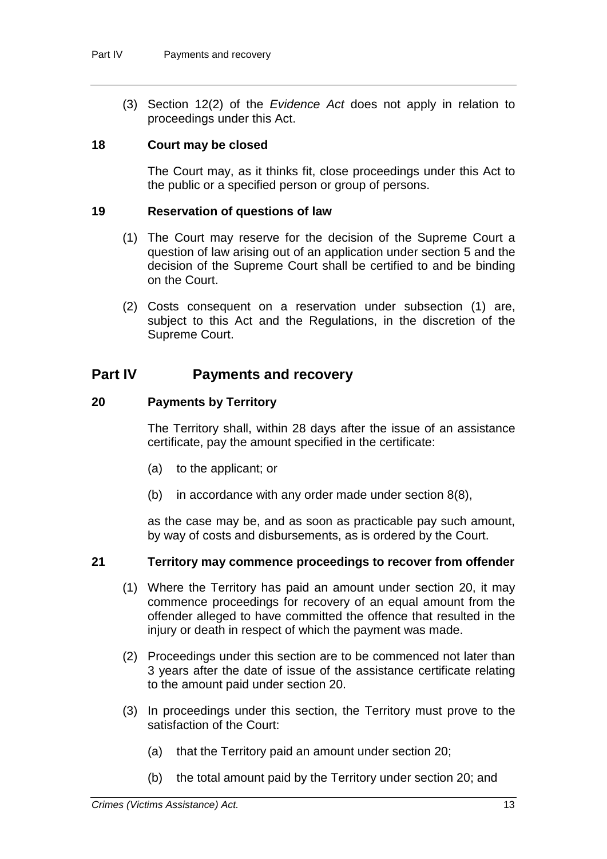(3) Section 12(2) of the *Evidence Act* does not apply in relation to proceedings under this Act.

## **18 Court may be closed**

The Court may, as it thinks fit, close proceedings under this Act to the public or a specified person or group of persons.

## **19 Reservation of questions of law**

- (1) The Court may reserve for the decision of the Supreme Court a question of law arising out of an application under section 5 and the decision of the Supreme Court shall be certified to and be binding on the Court.
- (2) Costs consequent on a reservation under subsection (1) are, subject to this Act and the Regulations, in the discretion of the Supreme Court.

## **Part IV Payments and recovery**

## **20 Payments by Territory**

The Territory shall, within 28 days after the issue of an assistance certificate, pay the amount specified in the certificate:

- (a) to the applicant; or
- (b) in accordance with any order made under section 8(8),

as the case may be, and as soon as practicable pay such amount, by way of costs and disbursements, as is ordered by the Court.

#### **21 Territory may commence proceedings to recover from offender**

- (1) Where the Territory has paid an amount under section 20, it may commence proceedings for recovery of an equal amount from the offender alleged to have committed the offence that resulted in the injury or death in respect of which the payment was made.
- (2) Proceedings under this section are to be commenced not later than 3 years after the date of issue of the assistance certificate relating to the amount paid under section 20.
- (3) In proceedings under this section, the Territory must prove to the satisfaction of the Court:
	- (a) that the Territory paid an amount under section 20;
	- (b) the total amount paid by the Territory under section 20; and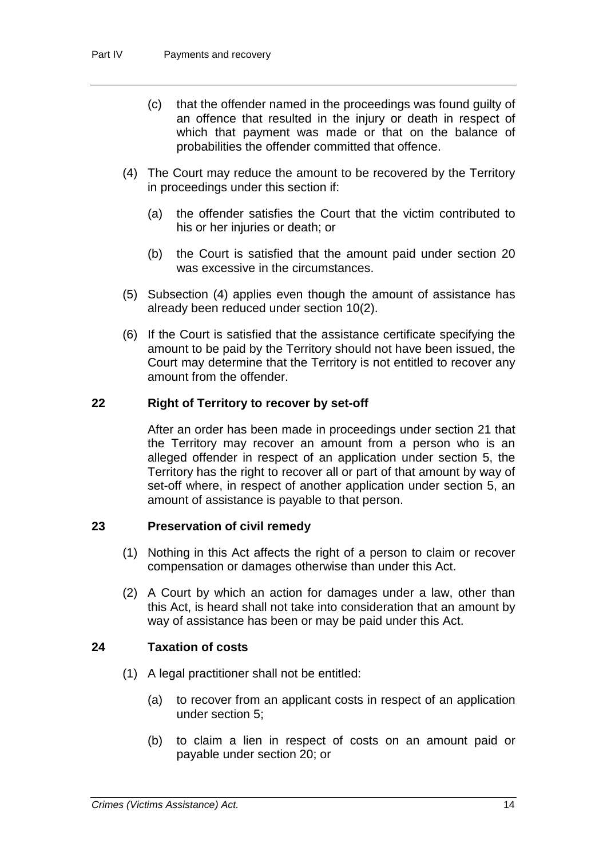- (c) that the offender named in the proceedings was found guilty of an offence that resulted in the injury or death in respect of which that payment was made or that on the balance of probabilities the offender committed that offence.
- (4) The Court may reduce the amount to be recovered by the Territory in proceedings under this section if:
	- (a) the offender satisfies the Court that the victim contributed to his or her injuries or death; or
	- (b) the Court is satisfied that the amount paid under section 20 was excessive in the circumstances.
- (5) Subsection (4) applies even though the amount of assistance has already been reduced under section 10(2).
- (6) If the Court is satisfied that the assistance certificate specifying the amount to be paid by the Territory should not have been issued, the Court may determine that the Territory is not entitled to recover any amount from the offender.

## **22 Right of Territory to recover by set-off**

After an order has been made in proceedings under section 21 that the Territory may recover an amount from a person who is an alleged offender in respect of an application under section 5, the Territory has the right to recover all or part of that amount by way of set-off where, in respect of another application under section 5, an amount of assistance is payable to that person.

## **23 Preservation of civil remedy**

- (1) Nothing in this Act affects the right of a person to claim or recover compensation or damages otherwise than under this Act.
- (2) A Court by which an action for damages under a law, other than this Act, is heard shall not take into consideration that an amount by way of assistance has been or may be paid under this Act.

#### **24 Taxation of costs**

- (1) A legal practitioner shall not be entitled:
	- (a) to recover from an applicant costs in respect of an application under section 5;
	- (b) to claim a lien in respect of costs on an amount paid or payable under section 20; or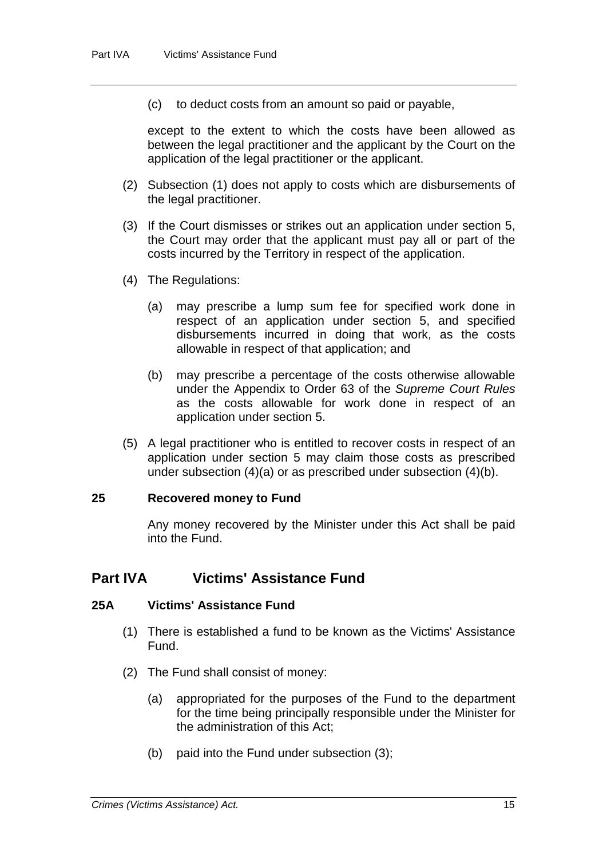(c) to deduct costs from an amount so paid or payable,

except to the extent to which the costs have been allowed as between the legal practitioner and the applicant by the Court on the application of the legal practitioner or the applicant.

- (2) Subsection (1) does not apply to costs which are disbursements of the legal practitioner.
- (3) If the Court dismisses or strikes out an application under section 5, the Court may order that the applicant must pay all or part of the costs incurred by the Territory in respect of the application.
- (4) The Regulations:
	- (a) may prescribe a lump sum fee for specified work done in respect of an application under section 5, and specified disbursements incurred in doing that work, as the costs allowable in respect of that application; and
	- (b) may prescribe a percentage of the costs otherwise allowable under the Appendix to Order 63 of the *Supreme Court Rules* as the costs allowable for work done in respect of an application under section 5.
- (5) A legal practitioner who is entitled to recover costs in respect of an application under section 5 may claim those costs as prescribed under subsection (4)(a) or as prescribed under subsection (4)(b).

#### **25 Recovered money to Fund**

Any money recovered by the Minister under this Act shall be paid into the Fund.

## **Part IVA Victims' Assistance Fund**

#### **25A Victims' Assistance Fund**

- (1) There is established a fund to be known as the Victims' Assistance Fund.
- (2) The Fund shall consist of money:
	- (a) appropriated for the purposes of the Fund to the department for the time being principally responsible under the Minister for the administration of this Act;
	- (b) paid into the Fund under subsection (3);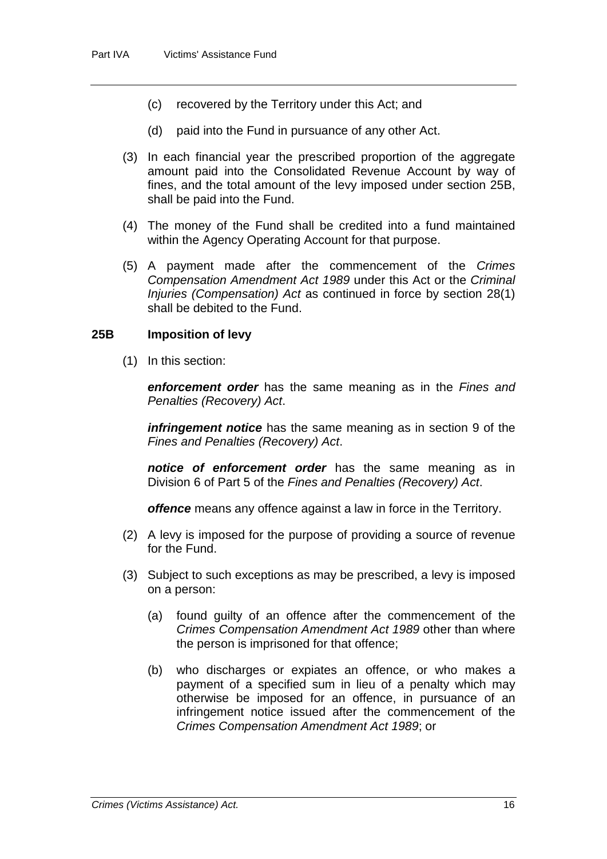- (c) recovered by the Territory under this Act; and
- (d) paid into the Fund in pursuance of any other Act.
- (3) In each financial year the prescribed proportion of the aggregate amount paid into the Consolidated Revenue Account by way of fines, and the total amount of the levy imposed under section 25B, shall be paid into the Fund.
- (4) The money of the Fund shall be credited into a fund maintained within the Agency Operating Account for that purpose.
- (5) A payment made after the commencement of the *Crimes Compensation Amendment Act 1989* under this Act or the *Criminal Injuries (Compensation) Act* as continued in force by section 28(1) shall be debited to the Fund.

## **25B Imposition of levy**

(1) In this section:

*enforcement order* has the same meaning as in the *Fines and Penalties (Recovery) Act*.

*infringement notice* has the same meaning as in section 9 of the *Fines and Penalties (Recovery) Act*.

*notice of enforcement order* has the same meaning as in Division 6 of Part 5 of the *Fines and Penalties (Recovery) Act*.

*offence* means any offence against a law in force in the Territory.

- (2) A levy is imposed for the purpose of providing a source of revenue for the Fund.
- (3) Subject to such exceptions as may be prescribed, a levy is imposed on a person:
	- (a) found guilty of an offence after the commencement of the *Crimes Compensation Amendment Act 1989* other than where the person is imprisoned for that offence;
	- (b) who discharges or expiates an offence, or who makes a payment of a specified sum in lieu of a penalty which may otherwise be imposed for an offence, in pursuance of an infringement notice issued after the commencement of the *Crimes Compensation Amendment Act 1989*; or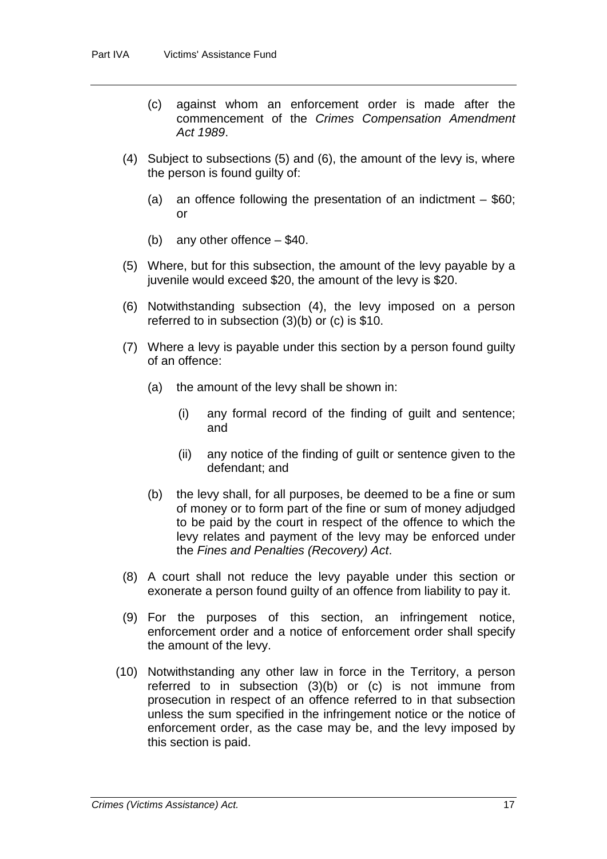- (c) against whom an enforcement order is made after the commencement of the *Crimes Compensation Amendment Act 1989*.
- (4) Subject to subsections (5) and (6), the amount of the levy is, where the person is found guilty of:
	- (a) an offence following the presentation of an indictment  $-$  \$60; or
	- (b) any other offence \$40.
- (5) Where, but for this subsection, the amount of the levy payable by a juvenile would exceed \$20, the amount of the levy is \$20.
- (6) Notwithstanding subsection (4), the levy imposed on a person referred to in subsection (3)(b) or (c) is \$10.
- (7) Where a levy is payable under this section by a person found guilty of an offence:
	- (a) the amount of the levy shall be shown in:
		- (i) any formal record of the finding of guilt and sentence; and
		- (ii) any notice of the finding of guilt or sentence given to the defendant; and
	- (b) the levy shall, for all purposes, be deemed to be a fine or sum of money or to form part of the fine or sum of money adjudged to be paid by the court in respect of the offence to which the levy relates and payment of the levy may be enforced under the *Fines and Penalties (Recovery) Act*.
- (8) A court shall not reduce the levy payable under this section or exonerate a person found guilty of an offence from liability to pay it.
- (9) For the purposes of this section, an infringement notice, enforcement order and a notice of enforcement order shall specify the amount of the levy.
- (10) Notwithstanding any other law in force in the Territory, a person referred to in subsection (3)(b) or (c) is not immune from prosecution in respect of an offence referred to in that subsection unless the sum specified in the infringement notice or the notice of enforcement order, as the case may be, and the levy imposed by this section is paid.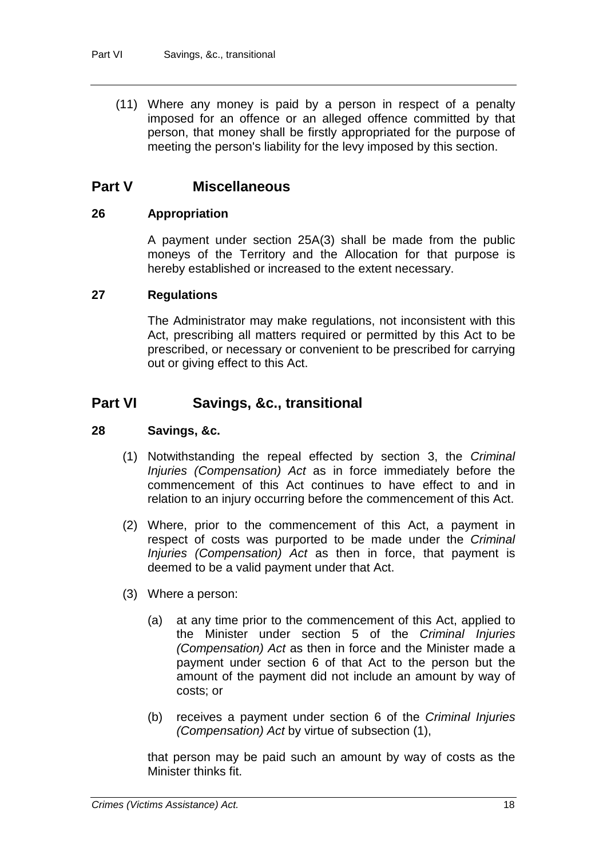(11) Where any money is paid by a person in respect of a penalty imposed for an offence or an alleged offence committed by that person, that money shall be firstly appropriated for the purpose of meeting the person's liability for the levy imposed by this section.

## **Part V Miscellaneous**

## **26 Appropriation**

A payment under section 25A(3) shall be made from the public moneys of the Territory and the Allocation for that purpose is hereby established or increased to the extent necessary.

## **27 Regulations**

The Administrator may make regulations, not inconsistent with this Act, prescribing all matters required or permitted by this Act to be prescribed, or necessary or convenient to be prescribed for carrying out or giving effect to this Act.

## **Part VI Savings, &c., transitional**

## **28 Savings, &c.**

- (1) Notwithstanding the repeal effected by section 3, the *Criminal Injuries (Compensation) Act* as in force immediately before the commencement of this Act continues to have effect to and in relation to an injury occurring before the commencement of this Act.
- (2) Where, prior to the commencement of this Act, a payment in respect of costs was purported to be made under the *Criminal Injuries (Compensation) Act* as then in force, that payment is deemed to be a valid payment under that Act.
- (3) Where a person:
	- (a) at any time prior to the commencement of this Act, applied to the Minister under section 5 of the *Criminal Injuries (Compensation) Act* as then in force and the Minister made a payment under section 6 of that Act to the person but the amount of the payment did not include an amount by way of costs; or
	- (b) receives a payment under section 6 of the *Criminal Injuries (Compensation) Act* by virtue of subsection (1),

that person may be paid such an amount by way of costs as the Minister thinks fit.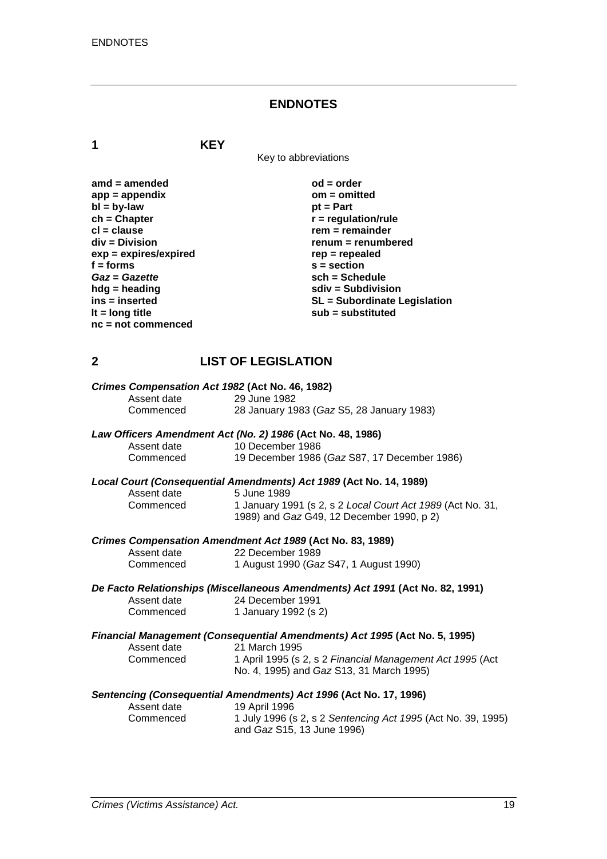#### **ENDNOTES**

**1 KEY**

Key to abbreviations

| $amd = amended$         | $od = order$                        |
|-------------------------|-------------------------------------|
| $app = appendix$        | $om = omitted$                      |
| $bl = by-law$           | $pt = Part$                         |
| $ch = Chapter$          | $r =$ regulation/rule               |
| $cl = clause$           | $rem = remainder$                   |
| div = Division          | renum = renumbered                  |
| $exp = expires/expired$ | $rep = repeated$                    |
| $f = form$              | $s = section$                       |
| Gaz = Gazette           | $sch = Schedule$                    |
| $h dg =$ heading        | $sdiv = Subdivision$                |
| ins = inserted          | <b>SL = Subordinate Legislation</b> |
| It = $long$ title       | sub = substituted                   |
| $nc = not$ commenced    |                                     |

## **2 LIST OF LEGISLATION**

| Crimes Compensation Act 1982 (Act No. 46, 1982)                  |                                           |  |
|------------------------------------------------------------------|-------------------------------------------|--|
| Assent date                                                      | 29 June 1982                              |  |
| Commenced                                                        | 28 January 1983 (Gaz S5, 28 January 1983) |  |
| $I_{out}$ Officers Amendment Ast (No. 3) 4006 (Ast No. 40, 4006) |                                           |  |

## *Law Officers Amendment Act (No. 2) 1986* **(Act No. 48, 1986)**

| Assent date | 10 December 1986                             |
|-------------|----------------------------------------------|
| Commenced   | 19 December 1986 (Gaz S87, 17 December 1986) |

# *Local Court (Consequential Amendments) Act 1989* **(Act No. 14, 1989)**

Assent date 5 June 1989<br>Commenced 1 January 19 Commenced 1 January 1991 (s 2, s 2 *Local Court Act 1989* (Act No. 31, 1989) and *Gaz* G49, 12 December 1990, p 2)

#### *Crimes Compensation Amendment Act 1989* **(Act No. 83, 1989)**

| Assent date | 22 December 1989                       |
|-------------|----------------------------------------|
| Commenced   | 1 August 1990 (Gaz S47, 1 August 1990) |

## *De Facto Relationships (Miscellaneous Amendments) Act 1991* **(Act No. 82, 1991)** Assent date 24 December 1991<br>Commenced 1 January 1992 (s 2

| Commenced | 1 January 1992 (s 2) |
|-----------|----------------------|
|-----------|----------------------|

#### *Financial Management (Consequential Amendments) Act 1995* **(Act No. 5, 1995)** Assent date 21 March 1995<br>Commenced 1 April 1995 (s) 1 April 1995 (s 2, s 2 Financial Management Act 1995 (Act No. 4, 1995) and *Gaz* S13, 31 March 1995)

## *Sentencing (Consequential Amendments) Act 1996* **(Act No. 17, 1996)**

| Assent date | 19 April 1996                                                |
|-------------|--------------------------------------------------------------|
| Commenced   | 1 July 1996 (s 2, s 2 Sentencing Act 1995 (Act No. 39, 1995) |
|             | and <i>Gaz</i> S15, 13 June 1996)                            |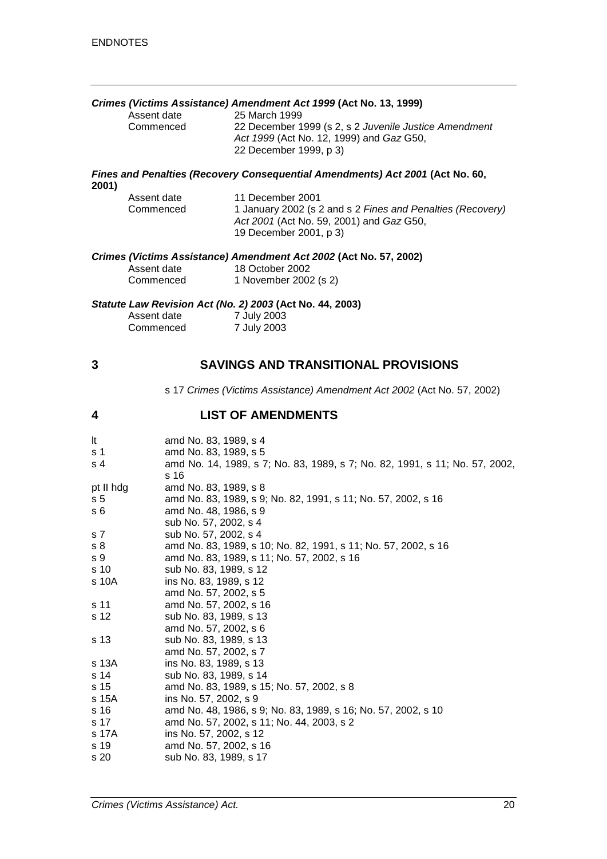# *Crimes (Victims Assistance) Amendment Act 1999* **(Act No. 13, 1999)**

Assent date 25 March 1999<br>Commenced 22 December 1

22 December 1999 (s 2, s 2 *Juvenile Justice Amendment Act 1999* (Act No. 12, 1999) and *Gaz* G50, 22 December 1999, p 3)

#### *Fines and Penalties (Recovery Consequential Amendments) Act 2001* **(Act No. 60, 2001)**

| Assent date | 11 December 2001                                           |
|-------------|------------------------------------------------------------|
| Commenced   | 1 January 2002 (s 2 and s 2 Fines and Penalties (Recovery) |
|             | Act 2001 (Act No. 59, 2001) and Gaz G50,                   |
|             | 19 December 2001, p 3)                                     |
|             |                                                            |

#### *Crimes (Victims Assistance) Amendment Act 2002* **(Act No. 57, 2002)**

| Assent date | 18 October 2002       |
|-------------|-----------------------|
| Commenced   | 1 November 2002 (s 2) |

#### *Statute Law Revision Act (No. 2) 2003* **(Act No. 44, 2003)**

| Assent date | 7 July 2003 |  |
|-------------|-------------|--|
| Commenced   | 7 July 2003 |  |

## **3 SAVINGS AND TRANSITIONAL PROVISIONS**

s 17 *Crimes (Victims Assistance) Amendment Act 2002* (Act No. 57, 2002)

## **4 LIST OF AMENDMENTS**

| It             | amd No. 83, 1989, s 4                                                       |
|----------------|-----------------------------------------------------------------------------|
| s 1            | amd No. 83, 1989, s 5                                                       |
| s 4            | amd No. 14, 1989, s 7; No. 83, 1989, s 7; No. 82, 1991, s 11; No. 57, 2002, |
|                | s 16                                                                        |
| pt II hdg      | amd No. 83, 1989, s 8                                                       |
| s <sub>5</sub> | amd No. 83, 1989, s 9; No. 82, 1991, s 11; No. 57, 2002, s 16               |
| s 6            | amd No. 48, 1986, s 9                                                       |
|                | sub No. 57, 2002, s 4                                                       |
| s 7            | sub No. 57, 2002, s 4                                                       |
| s 8            | amd No. 83, 1989, s 10; No. 82, 1991, s 11; No. 57, 2002, s 16              |
| s 9            | amd No. 83, 1989, s 11; No. 57, 2002, s 16                                  |
| s 10           | sub No. 83, 1989, s 12                                                      |
| s 10A          | ins No. 83, 1989, s 12                                                      |
|                | amd No. 57, 2002, s 5                                                       |
| s 11           | amd No. 57, 2002, s 16                                                      |
| s 12           | sub No. 83, 1989, s 13                                                      |
|                | amd No. 57, 2002, s 6                                                       |
| s 13           | sub No. 83, 1989, s 13                                                      |
|                | amd No. 57, 2002, s 7                                                       |
| s 13A          | ins No. 83, 1989, s 13                                                      |
| s 14           | sub No. 83, 1989, s 14                                                      |
| s 15           | amd No. 83, 1989, s 15; No. 57, 2002, s 8                                   |
| s 15A          | ins No. 57, 2002, s 9                                                       |
| s 16           | amd No. 48, 1986, s 9; No. 83, 1989, s 16; No. 57, 2002, s 10               |
| s 17           | amd No. 57, 2002, s 11; No. 44, 2003, s 2                                   |
| s 17A          | ins No. 57, 2002, s 12                                                      |
| s 19           | amd No. 57, 2002, s 16                                                      |
| s 20           | sub No. 83, 1989, s 17                                                      |
|                |                                                                             |